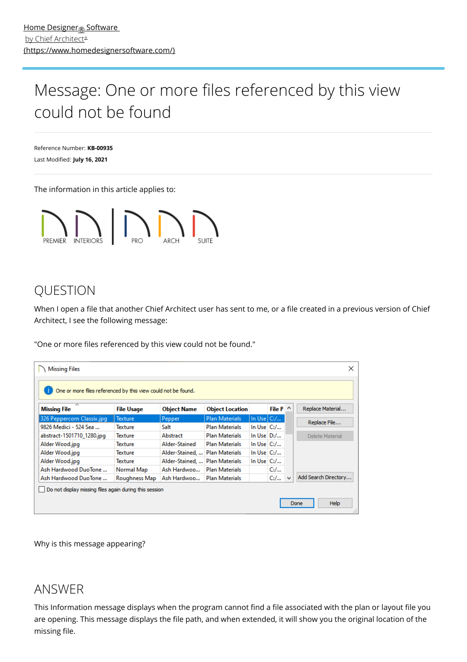# <span id="page-0-0"></span>Message: One or more files referenced by this view could not be found

Reference Number: **KB-00935** Last Modified: **July 16, 2021**

The information in this article applies to:



# QUESTION

When I open a file that another Chief Architect user has sent to me, or a file created in a previous version of Chief Architect, I see the following message:

"One or more files referenced by this view could not be found."

| ×<br><b>Missing Files</b><br>One or more files referenced by this view could not be found. |                   |                    |                        |                 |                 |   |                      |
|--------------------------------------------------------------------------------------------|-------------------|--------------------|------------------------|-----------------|-----------------|---|----------------------|
| ∧<br><b>Missing File</b>                                                                   | <b>File Usage</b> | <b>Object Name</b> | <b>Object Location</b> |                 | File $P \wedge$ |   | Replace Material     |
| 326 Peppercorn Classix.jpg                                                                 | <b>Texture</b>    | Pepper             | <b>Plan Materials</b>  | In Use $C_{1}/$ |                 |   | Replace File         |
| 9826 Medici - 524 Sea                                                                      | Texture           | Salt               | <b>Plan Materials</b>  | In Use $C/L$    |                 |   |                      |
| abstract-1501710_1280.jpg                                                                  | Texture           | Abstract           | <b>Plan Materials</b>  | In Use $D:$ /   |                 |   | Delete Material      |
| Alder Wood.jpg                                                                             | Texture           | Alder-Stained      | <b>Plan Materials</b>  | In Use $C_{i}/$ |                 |   |                      |
| Alder Wood.jpg                                                                             | Texture           | Alder-Stained,     | <b>Plan Materials</b>  | In Use $C_{i}/$ |                 |   |                      |
| Alder Wood.jpg                                                                             | <b>Texture</b>    | Alder-Stained      | <b>Plan Materials</b>  | In Use $C_{i}/$ |                 |   |                      |
| Ash Hardwood DuoTone                                                                       | Normal Map        | Ash Hardwoo        | <b>Plan Materials</b>  |                 | $C_{i}/$        |   |                      |
| Ash Hardwood DuoTone                                                                       | Roughness Map     | Ash Hardwoo        | <b>Plan Materials</b>  |                 | $C_{i}/$        | w | Add Search Directory |
| Do not display missing files again during this session                                     |                   |                    |                        |                 |                 |   | <b>Help</b><br>Done  |

Why is this message appearing?

## ANSWER

This Information message displays when the program cannot find a file associated with the plan or layout file you are opening. This message displays the file path, and when extended, it will show you the original location of the missing file.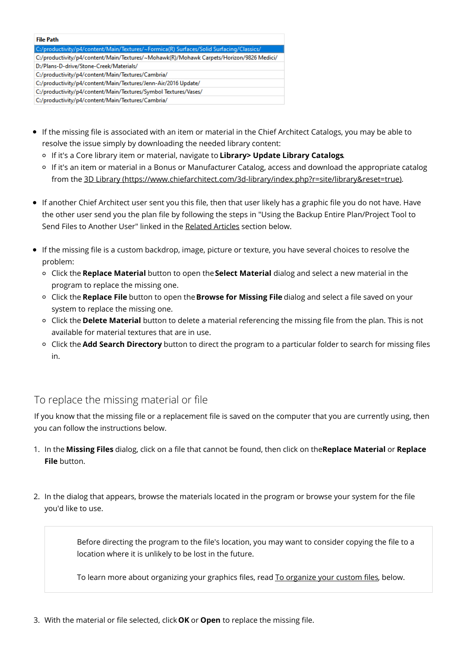| <b>File Path</b>                                                                        |
|-----------------------------------------------------------------------------------------|
| C:/productivity/p4/content/Main/Textures/~Formica(R) Surfaces/Solid Surfacing/Classics/ |
| C:/productivity/p4/content/Main/Textures/~Mohawk(R)/Mohawk Carpets/Horizon/9826 Medici/ |
| D:/Plans-D-drive/Stone-Creek/Materials/                                                 |
| C:/productivity/p4/content/Main/Textures/Cambria/                                       |
| C:/productivity/p4/content/Main/Textures/Jenn-Air/2016 Update/                          |
| C:/productivity/p4/content/Main/Textures/Symbol Textures/Vases/                         |
| C:/productivity/p4/content/Main/Textures/Cambria/                                       |

- If the missing file is associated with an item or material in the Chief Architect Catalogs, you may be able to resolve the issue simply by downloading the needed library content:
	- If it's a Core library item or material, navigate to **Library> Update Library Catalogs**.
	- o If it's an item or material in a Bonus or Manufacturer Catalog, access and download the appropriate catalog from the 3D Library [\(https://www.chiefarchitect.com/3d-library/index.php?r=site/library&reset=true\)](https://www.chiefarchitect.com/3d-library/index.php?r=site/library&reset=true).
- If another Chief Architect user sent you this file, then that user likely has a graphic file you do not have. Have the other user send you the plan file by following the steps in "Using the Backup Entire Plan/Project Tool to Send Files to Another User" linked in the [Related](#page-0-0) Articles section below.
- If the missing file is a custom backdrop, image, picture or texture, you have several choices to resolve the problem:
	- Click the **Replace Material** button to open the**Select Material** dialog and select a new material in the program to replace the missing one.
	- Click the **Replace File** button to open the**Browse for Missing File** dialog and select a file saved on your system to replace the missing one.
	- Click the **Delete Material** button to delete a material referencing the missing file from the plan. This is not available for material textures that are in use.
	- Click the **Add Search Directory** button to direct the program to a particular folder to search for missing files in.

## To replace the missing material or file

If you know that the missing file or a replacement file is saved on the computer that you are currently using, then you can follow the instructions below.

- 1. In the **Missing Files** dialog, click on a file that cannot be found, then click on the**Replace Material** or **Replace File** button.
- 2. In the dialog that appears, browse the materials located in the program or browse your system for the file you'd like to use.

Before directing the program to the file's location, you may want to consider copying the file to a location where it is unlikely to be lost in the future.

To learn more about organizing your graphics files, read To [organize](#page-0-0) your custom files, below.

3. With the material or file selected, click **OK** or **Open** to replace the missing file.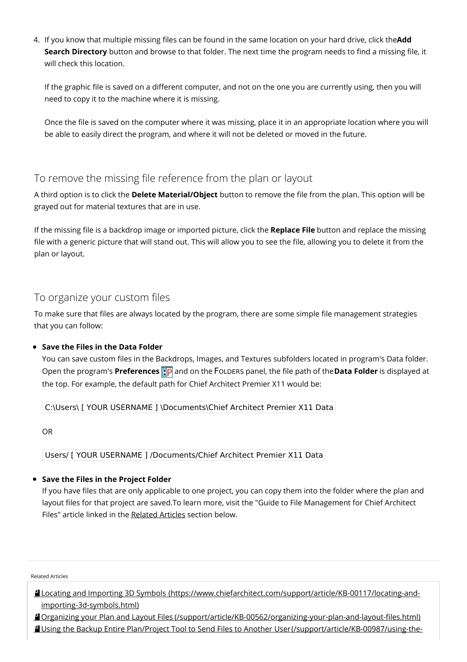4. If you know that multiple missing files can be found in the same location on your hard drive, click the**Add Search Directory** button and browse to that folder. The next time the program needs to find a missing file, it will check this location.

If the graphic file is saved on a different computer, and not on the one you are currently using, then you will need to copy it to the machine where it is missing.

Once the file is saved on the computer where it was missing, place it in an appropriate location where you will be able to easily direct the program, and where it will not be deleted or moved in the future.

### To remove the missing file reference from the plan or layout

A third option is to click the Delete Material/Object button to remove the file from the plan. This option will be grayed out for material textures that are in use.

If the missing file is a backdrop image or imported picture, click the **Replace File** button and replace the missing file with a generic picture that will stand out. This will allow you to see the file, allowing you to delete it from the plan or layout.

### To organize your custom files

To make sure that files are always located by the program, there are some simple file management strategies that you can follow:

#### **Save the Files in the Data Folder**

You can save custom files in the Backdrops, Images, and Textures subfolders located in program's Data folder. Open the program's **Preferences D** and on the FOLDERS panel, the file path of the **Data Folder** is displayed at the top. For example, the default path for Chief Architect Premier X11 would be:

C:\Users\ [ YOUR USERNAME ] \Documents\Chief Architect Premier X11 Data

OR

Users/ [ YOUR USERNAME ] /Documents/Chief Architect Premier X11 Data

#### **Save the Files in the Project Folder**

If you have files that are only applicable to one project, you can copy them into the folder where the plan and layout files for that project are saved.To learn more, visit the "Guide to File Management for Chief Architect Files" article linked in the [Related](#page-0-0) Articles section below.

Related Articles

Locating and Importing 3D Symbols [\(https://www.chiefarchitect.com/support/article/KB-00117/locating-and](https://www.chiefarchitect.com/support/article/KB-00117/locating-and-importing-3d-symbols.html)importing-3d-symbols.html)

Organizing your Plan and Layout Files [\(/support/article/KB-00562/organizing-your-plan-and-layout-files.html\)](file:///support/article/KB-00562/organizing-your-plan-and-layout-files.html) Using the Backup Entire Plan/Project Tool to Send Files to Another User [\(/support/article/KB-00987/using-the-](file:///support/article/KB-00987/using-the-backup-entire-plan-project-tool-to-send-files-to-another-user.html)